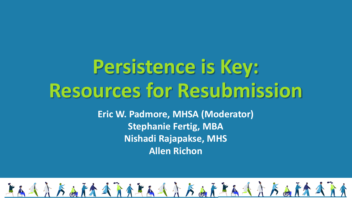# **Persistence is Key: Resources for Resubmission**

**Eric W. Padmore, MHSA (Moderator) Stephanie Fertig, MBA Nishadi Rajapakse, MHS Allen Richon** 

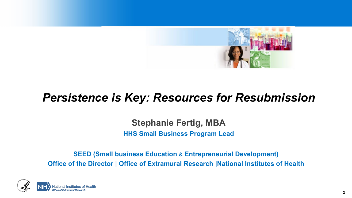

# *Persistence is Key: Resources for Resubmission*

**Stephanie Fertig, MBA HHS Small Business Program Lead**

**SEED (Small business Education & Entrepreneurial Development) Office of the Director | Office of Extramural Research | National Institutes of Health** 

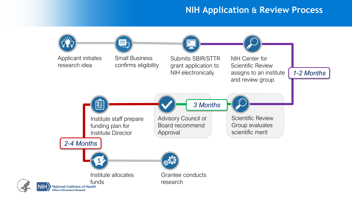#### **NIH Application & Review Process**

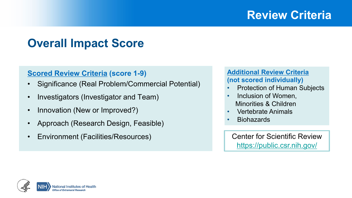# **Review Criteria**

# **Overall Impact Score**

#### **Scored Review Criteria (score 1-9)**

- Significance (Real Problem/Commercial Potential)
- Investigators (Investigator and Team)
- Innovation (New or Improved?)
- Approach (Research Design, Feasible)
- Environment (Facilities/Resources)

#### **Additional Review Criteria (not scored individually)**

- Protection of Human Subjects
- Inclusion of Women, Minorities & Children
- Vertebrate Animals
- **Biohazards**

Center for Scientific Review <https://public.csr.nih.gov/>

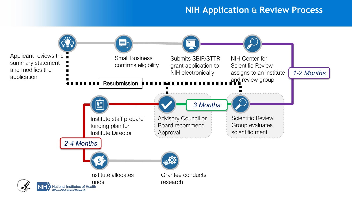#### **NIH Application & Review Process**

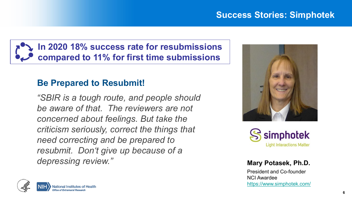

### **Be Prepared to Resubmit!**

*"SBIR is a tough route, and people should be aware of that. The reviewers are not concerned about feelings. But take the criticism seriously, correct the things that need correcting and be prepared to resubmit. Don't give up because of a depressing review."* **Mary Potasek, Ph.D.**





President and Co-founder NCI Awardee <https://www.simphotek.com/>

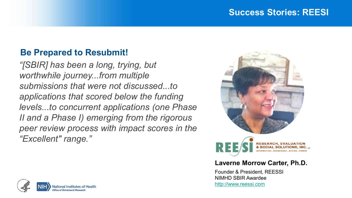#### **Success Stories: REESI**

### **Be Prepared to Resubmit!**

*"[SBIR] has been a long, trying, but worthwhile journey...from multiple submissions that were not discussed...to applications that scored below the funding levels...to concurrent applications (one Phase II and a Phase I) emerging from the rigorous peer review process with impact scores in the "Excellent" range."*



#### **Laverne Morrow Carter, Ph.D.**

Founder & President, REESSI NIMHD SBIR Awardee [http://www.reessi.com](http://www.reessi.com/)

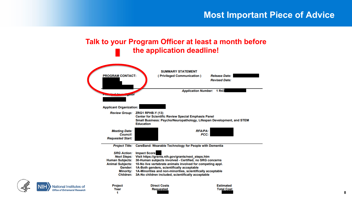#### **Talk to your Program Officer at least a month before the application deadline!**